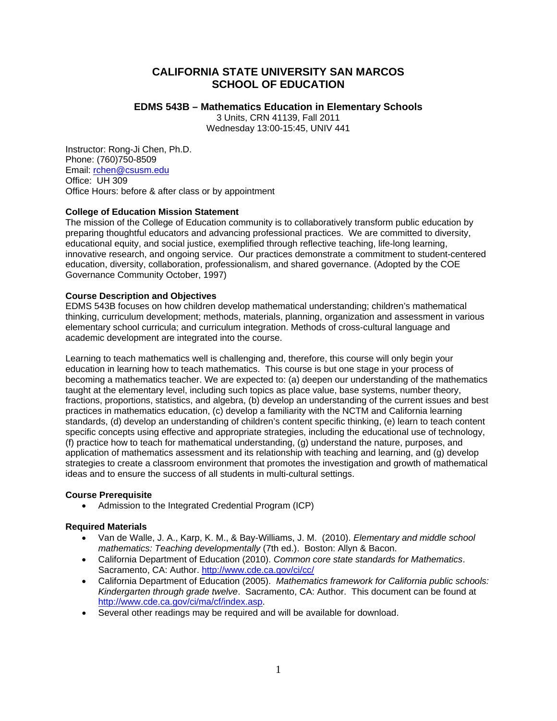# **CALIFORNIA STATE UNIVERSITY SAN MARCOS SCHOOL OF EDUCATION**

# **EDMS 543B – Mathematics Education in Elementary Schools**

3 Units, CRN 41139, Fall 2011 Wednesday 13:00-15:45, UNIV 441

Instructor: Rong-Ji Chen, Ph.D. Phone: (760)750-8509 Email: rchen@csusm.edu Office: UH 309 Office Hours: before & after class or by appointment

# **College of Education Mission Statement**

The mission of the College of Education community is to collaboratively transform public education by preparing thoughtful educators and advancing professional practices. We are committed to diversity, educational equity, and social justice, exemplified through reflective teaching, life-long learning, innovative research, and ongoing service. Our practices demonstrate a commitment to student-centered education, diversity, collaboration, professionalism, and shared governance. (Adopted by the COE Governance Community October, 1997)

# **Course Description and Objectives**

EDMS 543B focuses on how children develop mathematical understanding; children's mathematical thinking, curriculum development; methods, materials, planning, organization and assessment in various elementary school curricula; and curriculum integration. Methods of cross-cultural language and academic development are integrated into the course.

Learning to teach mathematics well is challenging and, therefore, this course will only begin your education in learning how to teach mathematics. This course is but one stage in your process of becoming a mathematics teacher. We are expected to: (a) deepen our understanding of the mathematics taught at the elementary level, including such topics as place value, base systems, number theory, fractions, proportions, statistics, and algebra, (b) develop an understanding of the current issues and best practices in mathematics education, (c) develop a familiarity with the NCTM and California learning standards, (d) develop an understanding of children's content specific thinking, (e) learn to teach content specific concepts using effective and appropriate strategies, including the educational use of technology, (f) practice how to teach for mathematical understanding, (g) understand the nature, purposes, and application of mathematics assessment and its relationship with teaching and learning, and (g) develop strategies to create a classroom environment that promotes the investigation and growth of mathematical ideas and to ensure the success of all students in multi-cultural settings.

# **Course Prerequisite**

 Admission to the Integrated Credential Program (ICP)

### **Required Materials**

- Van de Walle, J. A., Karp, K. M., & Bay-Williams, J. M. (2010). *Elementary and middle school mathematics: Teaching developmentally* (7th ed.). Boston: Allyn & Bacon.
- Sacramento, CA: Author. http://www.cde.ca.gov/ci/cc/ California Department of Education (2010). *Common core state standards for Mathematics*.
- California Department of Education (2005). *Mathematics framework for California public schools: Kindergarten through grade twelve*. Sacramento, CA: Author. This document can be found at http://www.cde.ca.gov/ci/ma/cf/index.asp.
- Several other readings may be required and will be available for download.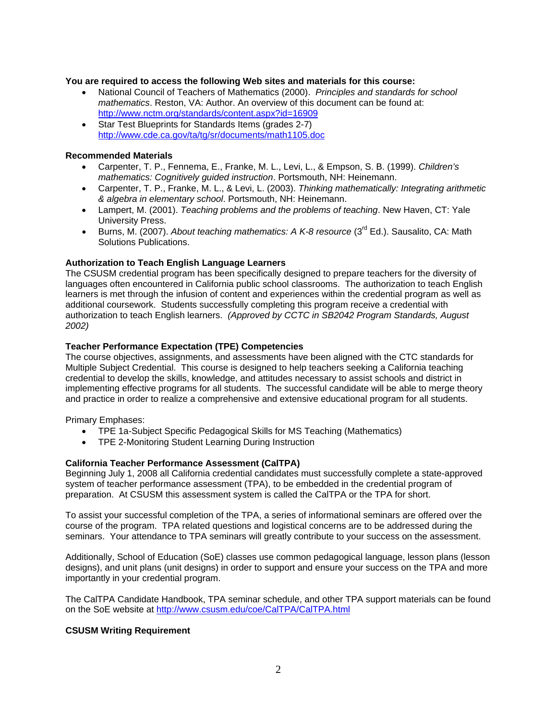### **You are required to access the following Web sites and materials for this course:**

- http://www.nctm.org/standards/content.aspx?id=16909 National Council of Teachers of Mathematics (2000). *Principles and standards for school mathematics*. Reston, VA: Author. An overview of this document can be found at:
- Star Test Blueprints for Standards Items (grades 2-7) http://www.cde.ca.gov/ta/tg/sr/documents/math1105.doc

# **Recommended Materials**

- Carpenter, T. P., Fennema, E., Franke, M. L., Levi, L., & Empson, S. B. (1999). *Children's mathematics: Cognitively guided instruction*. Portsmouth, NH: Heinemann.
- Carpenter, T. P., Franke, M. L., & Levi, L. (2003). *Thinking mathematically: Integrating arithmetic & algebra in elementary school*. Portsmouth, NH: Heinemann.
- Lampert, M. (2001). *Teaching problems and the problems of teaching*. New Haven, CT: Yale University Press.
- Burns, M. (2007). *About teaching mathematics: A K-8 resource* (3<sup>rd</sup> Ed.). Sausalito, CA: Math Solutions Publications.

# **Authorization to Teach English Language Learners**

The CSUSM credential program has been specifically designed to prepare teachers for the diversity of languages often encountered in California public school classrooms. The authorization to teach English learners is met through the infusion of content and experiences within the credential program as well as additional coursework. Students successfully completing this program receive a credential with authorization to teach English learners. *(Approved by CCTC in SB2042 Program Standards, August 2002)* 

# **Teacher Performance Expectation (TPE) Competencies**

The course objectives, assignments, and assessments have been aligned with the CTC standards for Multiple Subject Credential. This course is designed to help teachers seeking a California teaching credential to develop the skills, knowledge, and attitudes necessary to assist schools and district in implementing effective programs for all students. The successful candidate will be able to merge theory and practice in order to realize a comprehensive and extensive educational program for all students.

Primary Emphases:

- TPE 1a-Subject Specific Pedagogical Skills for MS Teaching (Mathematics)
- TPE 2-Monitoring Student Learning During Instruction

# **California Teacher Performance Assessment (CalTPA)**

Beginning July 1, 2008 all California credential candidates must successfully complete a state-approved system of teacher performance assessment (TPA), to be embedded in the credential program of preparation. At CSUSM this assessment system is called the CalTPA or the TPA for short.

To assist your successful completion of the TPA, a series of informational seminars are offered over the course of the program. TPA related questions and logistical concerns are to be addressed during the seminars. Your attendance to TPA seminars will greatly contribute to your success on the assessment.

Additionally, School of Education (SoE) classes use common pedagogical language, lesson plans (lesson designs), and unit plans (unit designs) in order to support and ensure your success on the TPA and more importantly in your credential program.

The CalTPA Candidate Handbook, TPA seminar schedule, and other TPA support materials can be found on the SoE website at http://www.csusm.edu/coe/CalTPA/CalTPA.html

### **CSUSM Writing Requirement**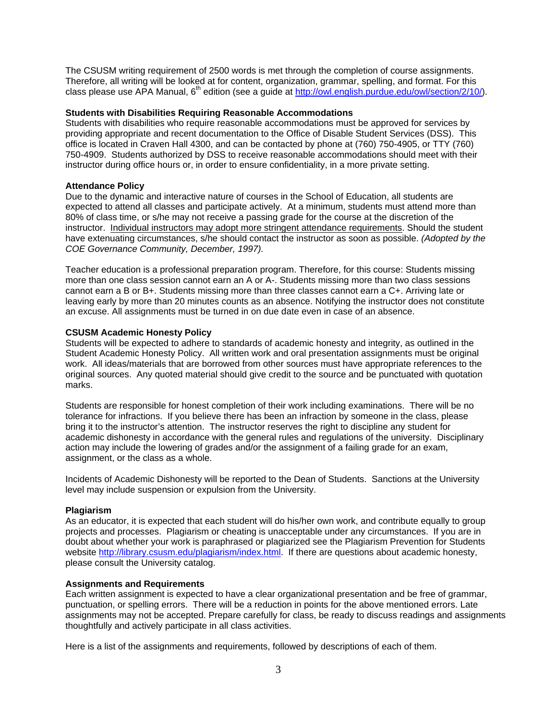The CSUSM writing requirement of 2500 words is met through the completion of course assignments. Therefore, all writing will be looked at for content, organization, grammar, spelling, and format. For this class please use APA Manual, 6<sup>th</sup> edition (see a guide at http://owl.english.purdue.edu/owl/section/2/10/).

### **Students with Disabilities Requiring Reasonable Accommodations**

Students with disabilities who require reasonable accommodations must be approved for services by providing appropriate and recent documentation to the Office of Disable Student Services (DSS). This office is located in Craven Hall 4300, and can be contacted by phone at (760) 750-4905, or TTY (760) 750-4909. Students authorized by DSS to receive reasonable accommodations should meet with their instructor during office hours or, in order to ensure confidentiality, in a more private setting.

#### **Attendance Policy**

Due to the dynamic and interactive nature of courses in the School of Education, all students are expected to attend all classes and participate actively. At a minimum, students must attend more than 80% of class time, or s/he may not receive a passing grade for the course at the discretion of the instructor. Individual instructors may adopt more stringent attendance requirements. Should the student have extenuating circumstances, s/he should contact the instructor as soon as possible. *(Adopted by the COE Governance Community, December, 1997).* 

Teacher education is a professional preparation program. Therefore, for this course: Students missing more than one class session cannot earn an A or A-. Students missing more than two class sessions cannot earn a B or B+. Students missing more than three classes cannot earn a C+. Arriving late or leaving early by more than 20 minutes counts as an absence. Notifying the instructor does not constitute an excuse. All assignments must be turned in on due date even in case of an absence.

#### **CSUSM Academic Honesty Policy**

Students will be expected to adhere to standards of academic honesty and integrity, as outlined in the Student Academic Honesty Policy. All written work and oral presentation assignments must be original work. All ideas/materials that are borrowed from other sources must have appropriate references to the original sources. Any quoted material should give credit to the source and be punctuated with quotation marks.

Students are responsible for honest completion of their work including examinations. There will be no tolerance for infractions. If you believe there has been an infraction by someone in the class, please bring it to the instructor's attention. The instructor reserves the right to discipline any student for academic dishonesty in accordance with the general rules and regulations of the university. Disciplinary action may include the lowering of grades and/or the assignment of a failing grade for an exam, assignment, or the class as a whole.

Incidents of Academic Dishonesty will be reported to the Dean of Students. Sanctions at the University level may include suspension or expulsion from the University.

#### **Plagiarism**

As an educator, it is expected that each student will do his/her own work, and contribute equally to group projects and processes. Plagiarism or cheating is unacceptable under any circumstances. If you are in doubt about whether your work is paraphrased or plagiarized see the Plagiarism Prevention for Students website http://library.csusm.edu/plagiarism/index.html. If there are questions about academic honesty, please consult the University catalog.

#### **Assignments and Requirements**

Each written assignment is expected to have a clear organizational presentation and be free of grammar, punctuation, or spelling errors. There will be a reduction in points for the above mentioned errors. Late assignments may not be accepted. Prepare carefully for class, be ready to discuss readings and assignments thoughtfully and actively participate in all class activities.

Here is a list of the assignments and requirements, followed by descriptions of each of them.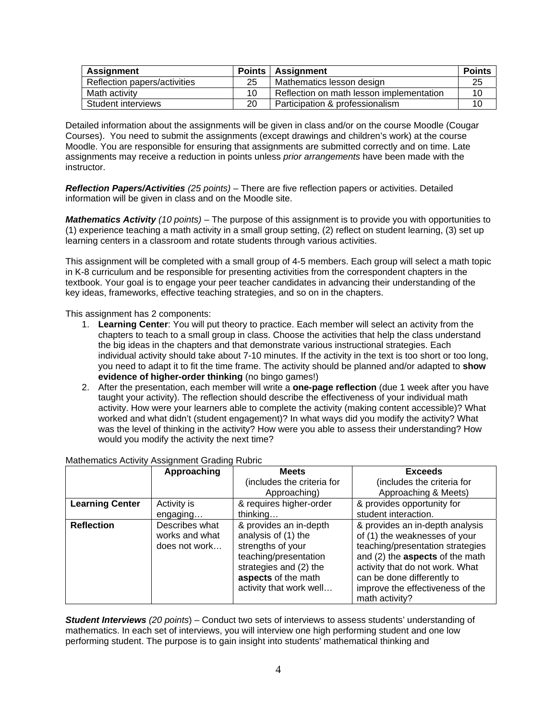| Assignment                   | <b>Points</b> | Assignment                               | <b>Points</b> |
|------------------------------|---------------|------------------------------------------|---------------|
| Reflection papers/activities | 25            | Mathematics lesson design                | 25            |
| Math activity                | 10            | Reflection on math lesson implementation | 10            |
| Student interviews           | 20            | Participation & professionalism          |               |

Detailed information about the assignments will be given in class and/or on the course Moodle (Cougar Courses). You need to submit the assignments (except drawings and children's work) at the course Moodle. You are responsible for ensuring that assignments are submitted correctly and on time. Late assignments may receive a reduction in points unless *prior arrangements* have been made with the instructor.

*Reflection Papers/Activities (25 points)* – There are five reflection papers or activities. Detailed information will be given in class and on the Moodle site.

*Mathematics Activity (10 points)* – The purpose of this assignment is to provide you with opportunities to (1) experience teaching a math activity in a small group setting, (2) reflect on student learning, (3) set up learning centers in a classroom and rotate students through various activities.

This assignment will be completed with a small group of 4-5 members. Each group will select a math topic in K-8 curriculum and be responsible for presenting activities from the correspondent chapters in the textbook. Your goal is to engage your peer teacher candidates in advancing their understanding of the key ideas, frameworks, effective teaching strategies, and so on in the chapters.

This assignment has 2 components:

- 1. **Learning Center**: You will put theory to practice. Each member will select an activity from the chapters to teach to a small group in class. Choose the activities that help the class understand the big ideas in the chapters and that demonstrate various instructional strategies. Each individual activity should take about 7-10 minutes. If the activity in the text is too short or too long, you need to adapt it to fit the time frame. The activity should be planned and/or adapted to **show evidence of higher-order thinking** (no bingo games!)
- 2. After the presentation, each member will write a **one-page reflection** (due 1 week after you have taught your activity). The reflection should describe the effectiveness of your individual math activity. How were your learners able to complete the activity (making content accessible)? What worked and what didn't (student engagement)? In what ways did you modify the activity? What was the level of thinking in the activity? How were you able to assess their understanding? How would you modify the activity the next time?

|                        | Approaching                                       | <b>Meets</b>                                                                                                                                                            | <b>Exceeds</b>                                                                                                                                                                                                                                                 |
|------------------------|---------------------------------------------------|-------------------------------------------------------------------------------------------------------------------------------------------------------------------------|----------------------------------------------------------------------------------------------------------------------------------------------------------------------------------------------------------------------------------------------------------------|
|                        |                                                   | (includes the criteria for                                                                                                                                              | (includes the criteria for                                                                                                                                                                                                                                     |
|                        |                                                   | Approaching)                                                                                                                                                            | Approaching & Meets)                                                                                                                                                                                                                                           |
| <b>Learning Center</b> | Activity is                                       | & requires higher-order                                                                                                                                                 | & provides opportunity for                                                                                                                                                                                                                                     |
|                        | engaging                                          | thinking                                                                                                                                                                | student interaction.                                                                                                                                                                                                                                           |
| <b>Reflection</b>      | Describes what<br>works and what<br>does not work | & provides an in-depth<br>analysis of (1) the<br>strengths of your<br>teaching/presentation<br>strategies and (2) the<br>aspects of the math<br>activity that work well | & provides an in-depth analysis<br>of (1) the weaknesses of your<br>teaching/presentation strategies<br>and (2) the aspects of the math<br>activity that do not work. What<br>can be done differently to<br>improve the effectiveness of the<br>math activity? |

# Mathematics Activity Assignment Grading Rubric

*Student Interviews (20 points*) – Conduct two sets of interviews to assess students' understanding of mathematics. In each set of interviews, you will interview one high performing student and one low performing student. The purpose is to gain insight into students' mathematical thinking and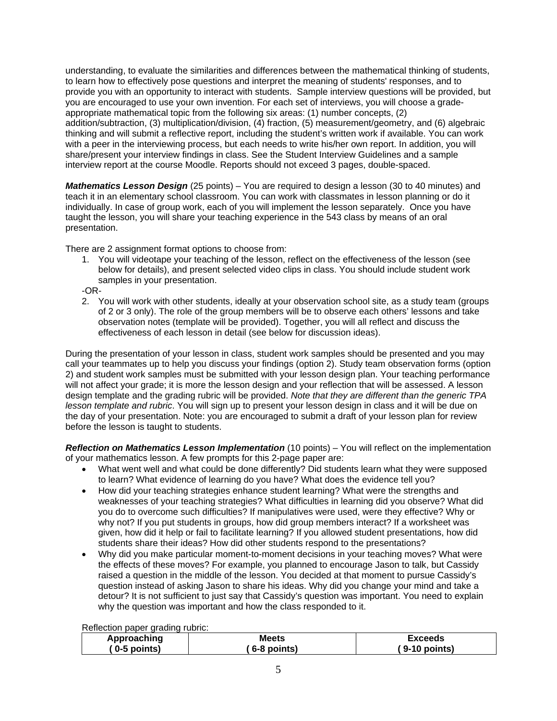understanding, to evaluate the similarities and differences between the mathematical thinking of students, to learn how to effectively pose questions and interpret the meaning of students' responses, and to provide you with an opportunity to interact with students. Sample interview questions will be provided, but you are encouraged to use your own invention. For each set of interviews, you will choose a gradeappropriate mathematical topic from the following six areas: (1) number concepts, (2) addition/subtraction, (3) multiplication/division, (4) fraction, (5) measurement/geometry, and (6) algebraic thinking and will submit a reflective report, including the student's written work if available. You can work with a peer in the interviewing process, but each needs to write his/her own report. In addition, you will share/present your interview findings in class. See the Student Interview Guidelines and a sample interview report at the course Moodle. Reports should not exceed 3 pages, double-spaced.

*Mathematics Lesson Design* (25 points) – You are required to design a lesson (30 to 40 minutes) and teach it in an elementary school classroom. You can work with classmates in lesson planning or do it individually. In case of group work, each of you will implement the lesson separately. Once you have taught the lesson, you will share your teaching experience in the 543 class by means of an oral presentation.

There are 2 assignment format options to choose from:

1. You will videotape your teaching of the lesson, reflect on the effectiveness of the lesson (see below for details), and present selected video clips in class. You should include student work samples in your presentation.

-OR-

2. You will work with other students, ideally at your observation school site, as a study team (groups of 2 or 3 only). The role of the group members will be to observe each others' lessons and take observation notes (template will be provided). Together, you will all reflect and discuss the effectiveness of each lesson in detail (see below for discussion ideas).

During the presentation of your lesson in class, student work samples should be presented and you may call your teammates up to help you discuss your findings (option 2). Study team observation forms (option 2) and student work samples must be submitted with your lesson design plan. Your teaching performance will not affect your grade; it is more the lesson design and your reflection that will be assessed. A lesson design template and the grading rubric will be provided. *Note that they are different than the generic TPA lesson template and rubric*. You will sign up to present your lesson design in class and it will be due on the day of your presentation. Note: you are encouraged to submit a draft of your lesson plan for review before the lesson is taught to students.

*Reflection on Mathematics Lesson Implementation* (10 points) – You will reflect on the implementation of your mathematics lesson. A few prompts for this 2-page paper are:

- What went well and what could be done differently? Did students learn what they were supposed to learn? What evidence of learning do you have? What does the evidence tell you?
- How did your teaching strategies enhance student learning? What were the strengths and weaknesses of your teaching strategies? What difficulties in learning did you observe? What did you do to overcome such difficulties? If manipulatives were used, were they effective? Why or why not? If you put students in groups, how did group members interact? If a worksheet was given, how did it help or fail to facilitate learning? If you allowed student presentations, how did students share their ideas? How did other students respond to the presentations?
- Why did you make particular moment-to-moment decisions in your teaching moves? What were the effects of these moves? For example, you planned to encourage Jason to talk, but Cassidy raised a question in the middle of the lesson. You decided at that moment to pursue Cassidy's question instead of asking Jason to share his ideas. Why did you change your mind and take a detour? It is not sufficient to just say that Cassidy's question was important. You need to explain why the question was important and how the class responded to it.

Reflection paper grading rubric:

| Approaching                         | Meets         | Exceeds        |
|-------------------------------------|---------------|----------------|
| $\left( 0.5 \text{ points} \right)$ | $6-8$ points) | ( 9-10 points) |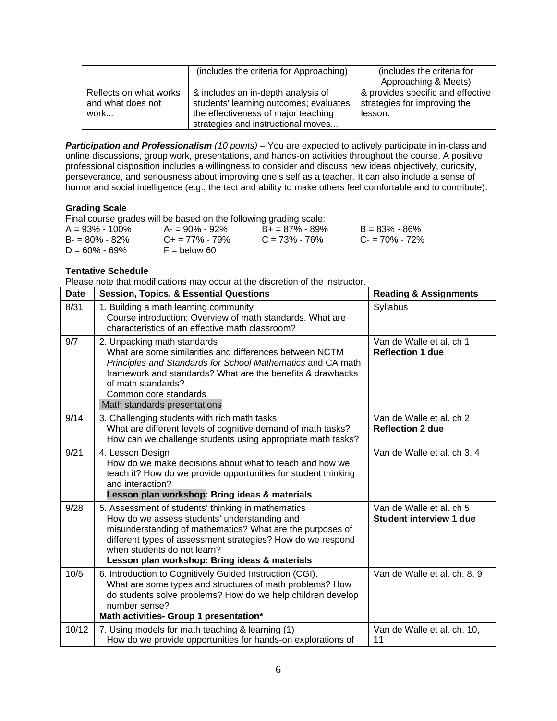|                                                     | (includes the criteria for Approaching)                                                                                                                   | (includes the criteria for<br>Approaching & Meets)                           |
|-----------------------------------------------------|-----------------------------------------------------------------------------------------------------------------------------------------------------------|------------------------------------------------------------------------------|
| Reflects on what works<br>and what does not<br>work | & includes an in-depth analysis of<br>students' learning outcomes; evaluates<br>the effectiveness of major teaching<br>strategies and instructional moves | & provides specific and effective<br>strategies for improving the<br>lesson. |

*Participation and Professionalism (10 points)* – You are expected to actively participate in in-class and online discussions, group work, presentations, and hands-on activities throughout the course. A positive professional disposition includes a willingness to consider and discuss new ideas objectively, curiosity, perseverance, and seriousness about improving one's self as a teacher. It can also include a sense of humor and social intelligence (e.g., the tact and ability to make others feel comfortable and to contribute).

# **Grading Scale**

Final course grades will be based on the following grading scale:

| $A = 93\% - 100\%$ | $A = 90\% - 92\%$       | $B+ = 87\% - 89\%$ | $B = 83\% - 86\%$ |
|--------------------|-------------------------|--------------------|-------------------|
| $B = 80\% - 82\%$  | $C_{\pm} = 77\% - 79\%$ | $C = 73\% - 76\%$  | $C = 70\% - 72\%$ |
| $D = 60\% - 69\%$  | $F =$ below 60          |                    |                   |

### **Tentative Schedule**

Please note that modifications may occur at the discretion of the instructor.

| <b>Date</b> | <b>Session, Topics, &amp; Essential Questions</b>                                                                                                                                                                                                                                                              | <b>Reading &amp; Assignments</b>                    |
|-------------|----------------------------------------------------------------------------------------------------------------------------------------------------------------------------------------------------------------------------------------------------------------------------------------------------------------|-----------------------------------------------------|
| 8/31        | 1. Building a math learning community<br>Course introduction; Overview of math standards. What are<br>characteristics of an effective math classroom?                                                                                                                                                          | Syllabus                                            |
| 9/7         | 2. Unpacking math standards<br>What are some similarities and differences between NCTM<br>Principles and Standards for School Mathematics and CA math<br>framework and standards? What are the benefits & drawbacks<br>of math standards?<br>Common core standards<br>Math standards presentations             | Van de Walle et al. ch 1<br><b>Reflection 1 due</b> |
| 9/14        | 3. Challenging students with rich math tasks<br>What are different levels of cognitive demand of math tasks?<br>How can we challenge students using appropriate math tasks?                                                                                                                                    | Van de Walle et al. ch 2<br><b>Reflection 2 due</b> |
| 9/21        | 4. Lesson Design<br>How do we make decisions about what to teach and how we<br>teach it? How do we provide opportunities for student thinking<br>and interaction?<br>Lesson plan workshop: Bring ideas & materials                                                                                             | Van de Walle et al. ch 3, 4                         |
| 9/28        | 5. Assessment of students' thinking in mathematics<br>How do we assess students' understanding and<br>misunderstanding of mathematics? What are the purposes of<br>different types of assessment strategies? How do we respond<br>when students do not learn?<br>Lesson plan workshop: Bring ideas & materials | Van de Walle et al. ch 5<br>Student interview 1 due |
| 10/5        | 6. Introduction to Cognitively Guided Instruction (CGI).<br>What are some types and structures of math problems? How<br>do students solve problems? How do we help children develop<br>number sense?<br>Math activities- Group 1 presentation*                                                                 | Van de Walle et al. ch. 8, 9                        |
| 10/12       | 7. Using models for math teaching & learning (1)<br>How do we provide opportunities for hands-on explorations of                                                                                                                                                                                               | Van de Walle et al. ch. 10,<br>11                   |